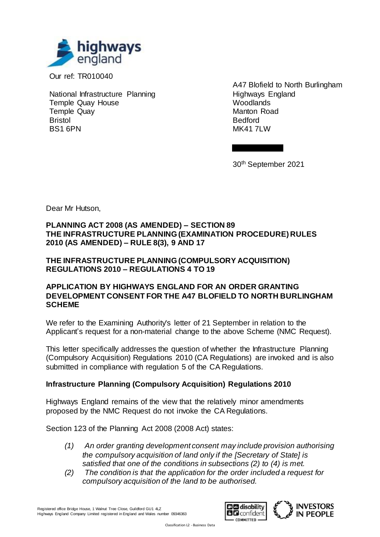

Our ref: TR010040

National Infrastructure Planning Temple Quay House Temple Quay Bristol BS1 6PN

A47 Blofield to North Burlingham Highways England **Woodlands** Manton Road Bedford MK41 7LW

30th September 2021

Dear Mr Hutson,

# **PLANNING ACT 2008 (AS AMENDED) – SECTION 89 THE INFRASTRUCTURE PLANNING (EXAMINATION PROCEDURE) RULES 2010 (AS AMENDED) – RULE 8(3), 9 AND 17**

#### **THE INFRASTRUCTURE PLANNING (COMPULSORY ACQUISITION) REGULATIONS 2010 – REGULATIONS 4 TO 19**

#### **APPLICATION BY HIGHWAYS ENGLAND FOR AN ORDER GRANTING DEVELOPMENT CONSENT FOR THE A47 BLOFIELD TO NORTH BURLINGHAM SCHEME**

We refer to the Examining Authority's letter of 21 September in relation to the Applicant's request for a non-material change to the above Scheme (NMC Request).

This letter specifically addresses the question of whether the Infrastructure Planning (Compulsory Acquisition) Regulations 2010 (CA Regulations) are invoked and is also submitted in compliance with regulation 5 of the CA Regulations.

# **Infrastructure Planning (Compulsory Acquisition) Regulations 2010**

Highways England remains of the view that the relatively minor amendments proposed by the NMC Request do not invoke the CA Regulations.

Section 123 of the Planning Act 2008 (2008 Act) states:

- *(1) An order granting development consent may include provision authorising the compulsory acquisition of land only if the [Secretary of State] is satisfied that one of the conditions in subsections (2) to (4) is met.*
- *(2) The condition is that the application for the order included a request for compulsory acquisition of the land to be authorised.*

Registered office Bridge House, 1 Walnut Tree Close, Guildford GU1 4LZ Highways England Company Limited registered in England and Wales number 09346363



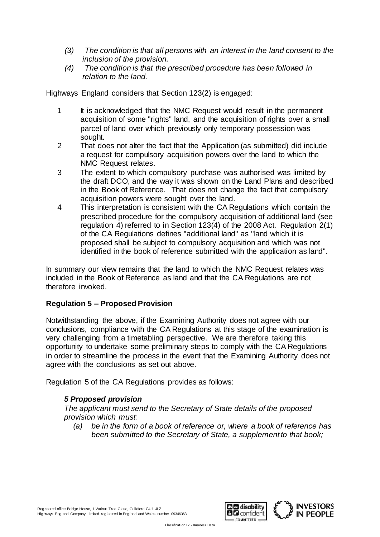- *(3) The condition is that all persons with an interest in the land consent to the inclusion of the provision.*
- *(4) The condition is that the prescribed procedure has been followed in relation to the land.*

Highways England considers that Section 123(2) is engaged:

- 1 It is acknowledged that the NMC Request would result in the permanent acquisition of some "rights" land, and the acquisition of rights over a small parcel of land over which previously only temporary possession was sought.
- 2 That does not alter the fact that the Application (as submitted) did include a request for compulsory acquisition powers over the land to which the NMC Request relates.
- 3 The extent to which compulsory purchase was authorised was limited by the draft DCO, and the way it was shown on the Land Plans and described in the Book of Reference. That does not change the fact that compulsory acquisition powers were sought over the land.
- 4 This interpretation is consistent with the CA Regulations which contain the prescribed procedure for the compulsory acquisition of additional land (see regulation 4) referred to in Section 123(4) of the 2008 Act. Regulation 2(1) of the CA Regulations defines "additional land" as "land which it is proposed shall be subject to compulsory acquisition and which was not identified in the book of reference submitted with the application as land".

In summary our view remains that the land to which the NMC Request relates was included in the Book of Reference as land and that the CA Regulations are not therefore invoked.

# **Regulation 5 – Proposed Provision**

Notwithstanding the above, if the Examining Authority does not agree with our conclusions, compliance with the CA Regulations at this stage of the examination is very challenging from a timetabling perspective. We are therefore taking this opportunity to undertake some preliminary steps to comply with the CA Regulations in order to streamline the process in the event that the Examining Authority does not agree with the conclusions as set out above.

Regulation 5 of the CA Regulations provides as follows:

# *5 Proposed provision*

*The applicant must send to the Secretary of State details of the proposed provision which must:*

*(a) be in the form of a book of reference or, where a book of reference has been submitted to the Secretary of State, a supplement to that book;*



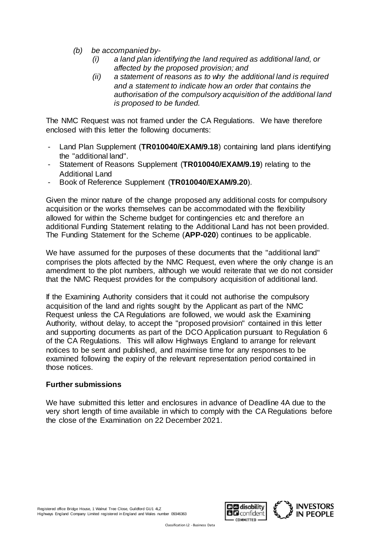- *(b) be accompanied by-*
	- *(i) a land plan identifying the land required as additional land, or affected by the proposed provision; and*
	- *(ii) a statement of reasons as to why the additional land is required and a statement to indicate how an order that contains the authorisation of the compulsory acquisition of the additional land is proposed to be funded.*

The NMC Request was not framed under the CA Regulations. We have therefore enclosed with this letter the following documents:

- Land Plan Supplement (**TR010040/EXAM/9.18**) containing land plans identifying the "additional land".
- Statement of Reasons Supplement (**TR010040/EXAM/9.19**) relating to the Additional Land
- Book of Reference Supplement (**TR010040/EXAM/9.20**).

Given the minor nature of the change proposed any additional costs for compulsory acquisition or the works themselves can be accommodated with the flexibility allowed for within the Scheme budget for contingencies etc and therefore an additional Funding Statement relating to the Additional Land has not been provided. The Funding Statement for the Scheme (**APP-020**) continues to be applicable.

We have assumed for the purposes of these documents that the "additional land" comprises the plots affected by the NMC Request, even where the only change is an amendment to the plot numbers, although we would reiterate that we do not consider that the NMC Request provides for the compulsory acquisition of additional land.

If the Examining Authority considers that it could not authorise the compulsory acquisition of the land and rights sought by the Applicant as part of the NMC Request unless the CA Regulations are followed, we would ask the Examining Authority, without delay, to accept the "proposed provision" contained in this letter and supporting documents as part of the DCO Application pursuant to Regulation 6 of the CA Regulations. This will allow Highways England to arrange for relevant notices to be sent and published, and maximise time for any responses to be examined following the expiry of the relevant representation period contained in those notices.

#### **Further submissions**

We have submitted this letter and enclosures in advance of Deadline 4A due to the very short length of time available in which to comply with the CA Regulations before the close of the Examination on 22 December 2021.